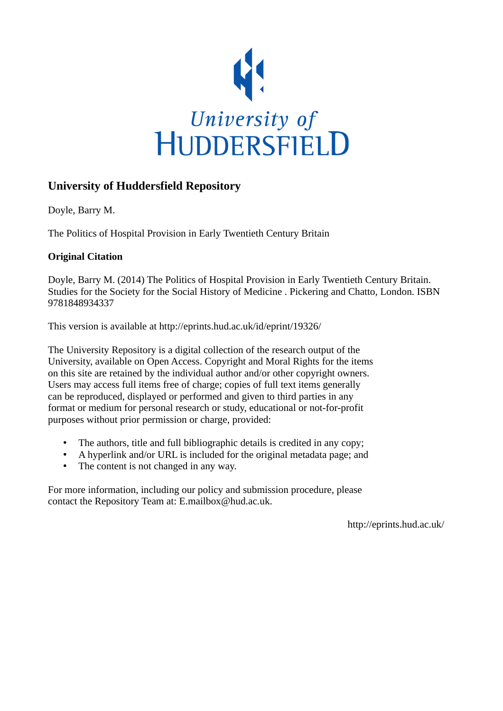

# **University of Huddersfield Repository**

Doyle, Barry M.

The Politics of Hospital Provision in Early Twentieth Century Britain

## **Original Citation**

Doyle, Barry M. (2014) The Politics of Hospital Provision in Early Twentieth Century Britain. Studies for the Society for the Social History of Medicine . Pickering and Chatto, London. ISBN 9781848934337

This version is available at http://eprints.hud.ac.uk/id/eprint/19326/

The University Repository is a digital collection of the research output of the University, available on Open Access. Copyright and Moral Rights for the items on this site are retained by the individual author and/or other copyright owners. Users may access full items free of charge; copies of full text items generally can be reproduced, displayed or performed and given to third parties in any format or medium for personal research or study, educational or not-for-profit purposes without prior permission or charge, provided:

- The authors, title and full bibliographic details is credited in any copy;
- A hyperlink and/or URL is included for the original metadata page; and
- The content is not changed in any way.

For more information, including our policy and submission procedure, please contact the Repository Team at: E.mailbox@hud.ac.uk.

http://eprints.hud.ac.uk/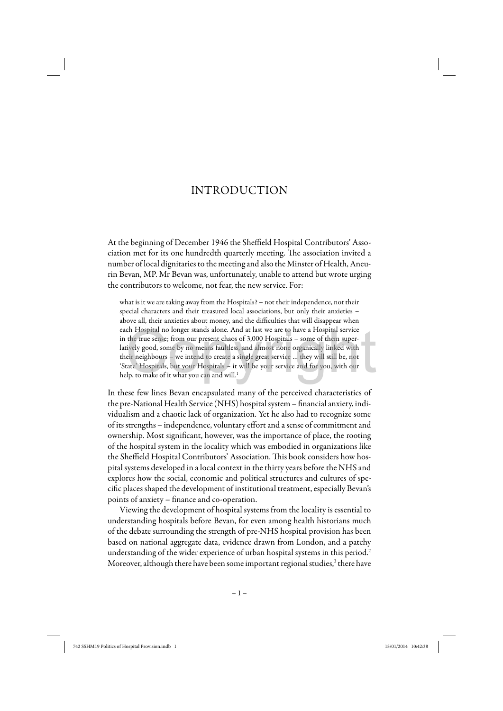### INTRODUCTION

At the beginning of December 1946 the Sheffield Hospital Contributors' Association met for its one hundredth quarterly meeting. The association invited a number of local dignitaries to the meeting and also the Minster of Health, Aneurin Bevan, MP. Mr Bevan was, unfortunately, unable to attend but wrote urging the contributors to welcome, not fear, the new service. For:

what is it we are taking away from the Hospitals? – not their independence, not their special characters and their treasured local associations, but only their anxieties – above all, their anxieties about money, and the difficulties that will disappear when each Hospital no longer stands alone. And at last we are to have a Hospital service in the true sense; from our present chaos of 3,000 Hospitals – some of them superlatively good, some by no means faultless, and almost none organically linked with their neighbours – we intend to create a single great service … they will still be, not 'State' Hospitals, but your Hospitals – it will be your service and for you, with our help, to make of it what you can and will.<sup>1</sup> ch Hospital no longer stands alone. And at last we are to have a Hospital service<br>the true sense; from our present chaos of 3,000 Hospitals – some of them super-<br>tively good, some by no means faultless, and almost none org

In these few lines Bevan encapsulated many of the perceived characteristics of the pre-National Health Service (NHS) hospital system - financial anxiety, individualism and a chaotic lack of organization. Yet he also had to recognize some of its strengths – independence, voluntary effort and a sense of commitment and ownership. Most significant, however, was the importance of place, the rooting of the hospital system in the locality which was embodied in organizations like the Sheffield Hospital Contributors' Association. This book considers how hospital systems developed in a local context in the thirty years before the NHS and explores how the social, economic and political structures and cultures of specific places shaped the development of institutional treatment, especially Bevan's points of anxiety – finance and co-operation.

Viewing the development of hospital systems from the locality is essential to understanding hospitals before Bevan, for even among health historians much of the debate surrounding the strength of pre-NHS hospital provision has been based on national aggregate data, evidence drawn from London, and a patchy understanding of the wider experience of urban hospital systems in this period.<sup>2</sup> Moreover, although there have been some important regional studies,<sup>3</sup> there have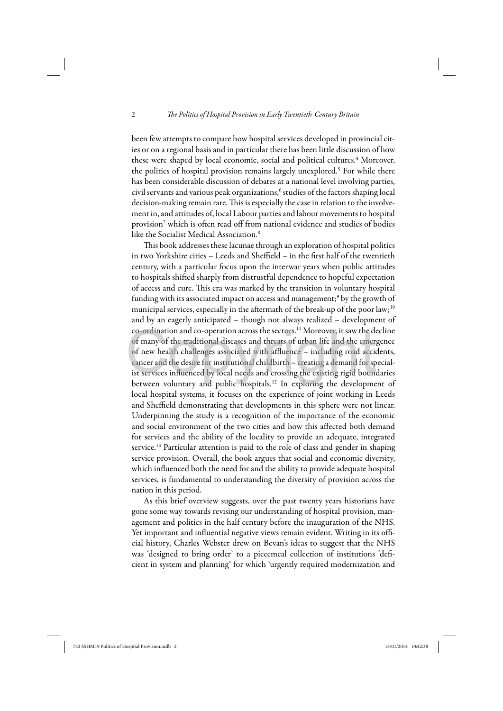#### 2 *The Politics of Hospital Provision in Early Twentieth-Century Britain*

been few attempts to compare how hospital services developed in provincial cities or on a regional basis and in particular there has been little discussion of how these were shaped by local economic, social and political cultures.<sup>4</sup> Moreover, the politics of hospital provision remains largely unexplored.5 For while there has been considerable discussion of debates at a national level involving parties, civil servants and various peak organizations, $^6$  studies of the factors shaping local decision-making remain rare. This is especially the case in relation to the involvement in, and attitudes of, local Labour parties and labour movements to hospital  $proxision<sup>7</sup>$  which is often read off from national evidence and studies of bodies like the Socialist Medical Association.<sup>8</sup>

This book addresses these lacunae through an exploration of hospital politics in two Yorkshire cities - Leeds and Sheffield - in the first half of the twentieth century, with a particular focus upon the interwar years when public attitudes to hospitals shifted sharply from distrustful dependence to hopeful expectation of access and cure. This era was marked by the transition in voluntary hospital funding with its associated impact on access and management;<sup>9</sup> by the growth of municipal services, especially in the aftermath of the break-up of the poor law;<sup>10</sup> and by an eagerly anticipated – though not always realized – development of co-ordination and co-operation across the sectors.11 Moreover, it saw the decline of many of the traditional diseases and threats of urban life and the emergence of new health challenges associated with affluence – including road accidents, cancer and the desire for institutional childbirth – creating a demand for specialist services influenced by local needs and crossing the existing rigid boundaries between voluntary and public hospitals.12 In exploring the development of local hospital systems, it focuses on the experience of joint working in Leeds and Sheffield demonstrating that developments in this sphere were not linear. Underpinning the study is a recognition of the importance of the economic and social environment of the two cities and how this affected both demand for services and the ability of the locality to provide an adequate, integrated service.13 Particular attention is paid to the role of class and gender in shaping service provision. Overall, the book argues that social and economic diversity, which influenced both the need for and the ability to provide adequate hospital services, is fundamental to understanding the diversity of provision across the nation in this period. co-ordination and co-operation across the sectors.<sup>11</sup> Moreover, it saw the dof many of the traditional diseases and threats of urban life and the emer<br>of new health challenges associated with affluence – including road a

As this brief overview suggests, over the past twenty years historians have gone some way towards revising our understanding of hospital provision, management and politics in the half century before the inauguration of the NHS. Yet important and influential negative views remain evident. Writing in its official history, Charles Webster drew on Bevan's ideas to suggest that the NHS was 'designed to bring order' to a piecemeal collection of institutions 'deficient in system and planning' for which 'urgently required modernization and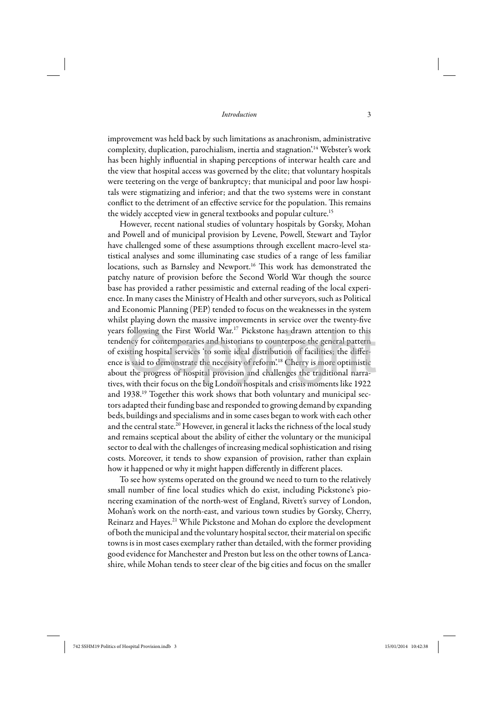improvement was held back by such limitations as anachronism, administrative complexity, duplication, parochialism, inertia and stagnation'.14 Webster's work has been highly influential in shaping perceptions of interwar health care and the view that hospital access was governed by the elite; that voluntary hospitals were teetering on the verge of bankruptcy; that municipal and poor law hospitals were stigmatizing and inferior; and that the two systems were in constant conflict to the detriment of an effective service for the population. This remains the widely accepted view in general textbooks and popular culture.<sup>15</sup>

However, recent national studies of voluntary hospitals by Gorsky, Mohan and Powell and of municipal provision by Levene, Powell, Stewart and Taylor have challenged some of these assumptions through excellent macro-level statistical analyses and some illuminating case studies of a range of less familiar locations, such as Barnsley and Newport.<sup>16</sup> This work has demonstrated the patchy nature of provision before the Second World War though the source base has provided a rather pessimistic and external reading of the local experience. In many cases the Ministry of Health and other surveyors, such as Political and Economic Planning (PEP) tended to focus on the weaknesses in the system whilst playing down the massive improvements in service over the twenty-five years following the First World War.<sup>17</sup> Pickstone has drawn attention to this tendency for contemporaries and historians to counterpose the general pattern of existing hospital services 'to some ideal distribution of facilities; the difference is said to demonstrate the necessity of reform'.18 Cherry is more optimistic about the progress of hospital provision and challenges the traditional narratives, with their focus on the big London hospitals and crisis moments like 1922 and 1938.19 Together this work shows that both voluntary and municipal sectors adapted their funding base and responded to growing demand by expanding beds, buildings and specialisms and in some cases began to work with each other and the central state.<sup>20</sup> However, in general it lacks the richness of the local study and remains sceptical about the ability of either the voluntary or the municipal sector to deal with the challenges of increasing medical sophistication and rising costs. Moreover, it tends to show expansion of provision, rather than explain how it happened or why it might happen differently in different places. following the First World War.<sup>17</sup> Pickstone has drawn attention to this<br>incy for contemporaries and historians to counterpose the general pattern<br>isting hospital services 'to some ideal distribution of facilities; the dif

To see how systems operated on the ground we need to turn to the relatively small number of fine local studies which do exist, including Pickstone's pioneering examination of the north-west of England, Rivett's survey of London, Mohan's work on the north-east, and various town studies by Gorsky, Cherry, Reinarz and Hayes.<sup>21</sup> While Pickstone and Mohan do explore the development of both the municipal and the voluntary hospital sector, their material on specific towns is in most cases exemplary rather than detailed, with the former providing good evidence for Manchester and Preston but less on the other towns of Lancashire, while Mohan tends to steer clear of the big cities and focus on the smaller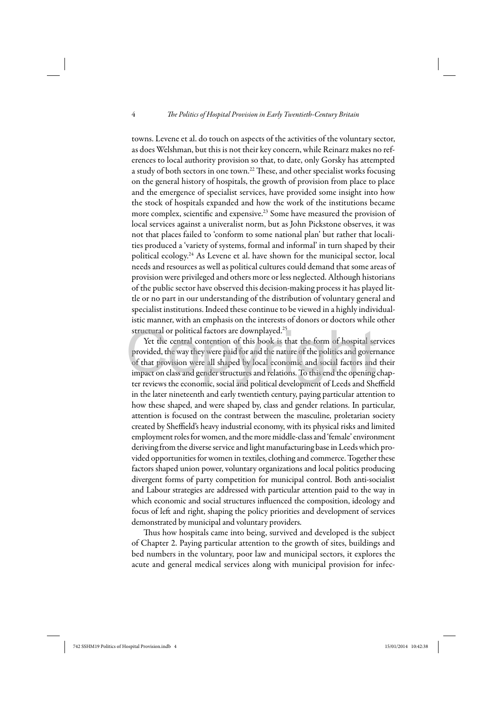#### 4 *Th e Politics of Hospital Provision in Early Twentieth-Century Britain*

towns. Levene et al. do touch on aspects of the activities of the voluntary sector, as does Welshman, but this is not their key concern, while Reinarz makes no references to local authority provision so that, to date, only Gorsky has attempted a study of both sectors in one town.<sup>22</sup> These, and other specialist works focusing on the general history of hospitals, the growth of provision from place to place and the emergence of specialist services, have provided some insight into how the stock of hospitals expanded and how the work of the institutions became more complex, scientific and expensive.<sup>23</sup> Some have measured the provision of local services against a univeralist norm, but as John Pickstone observes, it was not that places failed to 'conform to some national plan' but rather that localities produced a 'variety of systems, formal and informal' in turn shaped by their political ecology.24 As Levene et al. have shown for the municipal sector, local needs and resources as well as political cultures could demand that some areas of provision were privileged and others more or less neglected. Although historians of the public sector have observed this decision-making process it has played little or no part in our understanding of the distribution of voluntary general and specialist institutions. Indeed these continue to be viewed in a highly individualistic manner, with an emphasis on the interests of donors or doctors while other structural or political factors are downplayed.25

Yet the central contention of this book is that the form of hospital services provided, the way they were paid for and the nature of the politics and governance of that provision were all shaped by local economic and social factors and their impact on class and gender structures and relations. To this end the opening chapter reviews the economic, social and political development of Leeds and Sheffield in the later nineteenth and early twentieth century, paying particular attention to how these shaped, and were shaped by, class and gender relations. In particular, attention is focused on the contrast between the masculine, proletarian society created by Sheffield's heavy industrial economy, with its physical risks and limited employment roles for women, and the more middle-class and 'female' environment deriving from the diverse service and light manufacturing base in Leeds which provided opportunities for women in textiles, clothing and commerce. Together these factors shaped union power, voluntary organizations and local politics producing divergent forms of party competition for municipal control. Both anti-socialist and Labour strategies are addressed with particular attention paid to the way in which economic and social structures influenced the composition, ideology and focus of left and right, shaping the policy priorities and development of services demonstrated by municipal and voluntary providers. structural or political factors are downplayed.<sup>25</sup><br>
Yet the central contention of this book is that the form of hospital se<br>
provided, the way they were paid for and the nature of the politics and gover.<br>
of that provisio

Thus how hospitals came into being, survived and developed is the subject of Chapter 2. Paying particular attention to the growth of sites, buildings and bed numbers in the voluntary, poor law and municipal sectors, it explores the acute and general medical services along with municipal provision for infec-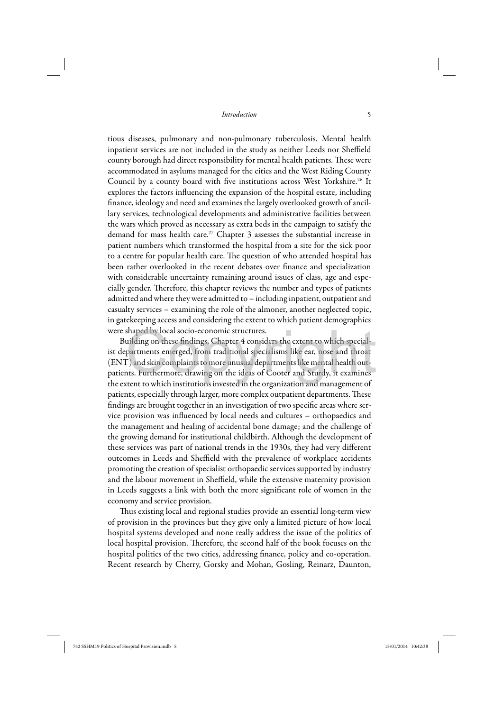tious diseases, pulmonary and non-pulmonary tuberculosis. Mental health inpatient services are not included in the study as neither Leeds nor Sheffield county borough had direct responsibility for mental health patients. These were accommodated in asylums managed for the cities and the West Riding County Council by a county board with five institutions across West Yorkshire.<sup>26</sup> It explores the factors influencing the expansion of the hospital estate, including finance, ideology and need and examines the largely overlooked growth of ancillary services, technological developments and administrative facilities between the wars which proved as necessary as extra beds in the campaign to satisfy the demand for mass health care.<sup>27</sup> Chapter 3 assesses the substantial increase in patient numbers which transformed the hospital from a site for the sick poor to a centre for popular health care. The question of who attended hospital has been rather overlooked in the recent debates over finance and specialization with considerable uncertainty remaining around issues of class, age and especially gender. Therefore, this chapter reviews the number and types of patients admitted and where they were admitted to – including inpatient, outpatient and casualty services – examining the role of the almoner, another neglected topic, in gatekeeping access and considering the extent to which patient demographics were shaped by local socio-economic structures.

Building on these findings, Chapter 4 considers the extent to which specialist departments emerged, from traditional specialisms like ear, nose and throat (ENT) and skin complaints to more unusual departments like mental health outpatients. Furthermore, drawing on the ideas of Cooter and Sturdy, it examines the extent to which institutions invested in the organization and management of patients, especially through larger, more complex outpatient departments. These findings are brought together in an investigation of two specific areas where service provision was influenced by local needs and cultures – orthopaedics and the management and healing of accidental bone damage; and the challenge of the growing demand for institutional childbirth. Although the development of these services was part of national trends in the 1930s, they had very different outcomes in Leeds and Sheffield with the prevalence of workplace accidents promoting the creation of specialist orthopaedic services supported by industry and the labour movement in Sheffield, while the extensive maternity provision in Leeds suggests a link with both the more significant role of women in the economy and service provision. shaped by local socio-economic structures.<br>uilding on these findings, Chapter 4 considers the extent to which special-<br>partments emerged, from traditional specialisms like ear, nose and throat<br>[] and skin complaints to mor

Thus existing local and regional studies provide an essential long-term view of provision in the provinces but they give only a limited picture of how local hospital systems developed and none really address the issue of the politics of local hospital provision. Therefore, the second half of the book focuses on the hospital politics of the two cities, addressing finance, policy and co-operation. Recent research by Cherry, Gorsky and Mohan, Gosling, Reinarz, Daunton,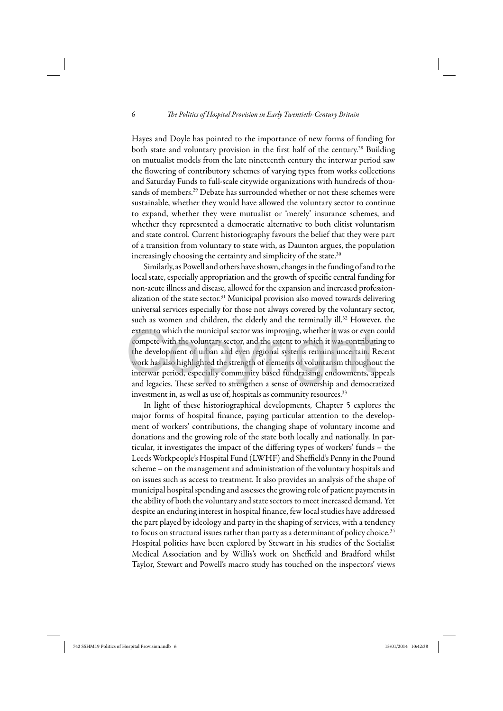#### 6 *Th e Politics of Hospital Provision in Early Twentieth-Century Britain*

Hayes and Doyle has pointed to the importance of new forms of funding for both state and voluntary provision in the first half of the century.<sup>28</sup> Building on mutualist models from the late nineteenth century the interwar period saw the flowering of contributory schemes of varying types from works collections and Saturday Funds to full-scale citywide organizations with hundreds of thousands of members.<sup>29</sup> Debate has surrounded whether or not these schemes were sustainable, whether they would have allowed the voluntary sector to continue to expand, whether they were mutualist or 'merely' insurance schemes, and whether they represented a democratic alternative to both elitist voluntarism and state control. Current historiography favours the belief that they were part of a transition from voluntary to state with, as Daunton argues, the population increasingly choosing the certainty and simplicity of the state.<sup>30</sup>

Similarly, as Powell and others have shown, changes in the funding of and to the local state, especially appropriation and the growth of specific central funding for non-acute illness and disease, allowed for the expansion and increased professionalization of the state sector.<sup>31</sup> Municipal provision also moved towards delivering universal services especially for those not always covered by the voluntary sector, such as women and children, the elderly and the terminally ill.<sup>32</sup> However, the extent to which the municipal sector was improving, whether it was or even could compete with the voluntary sector, and the extent to which it was contributing to the development of urban and even regional systems remains uncertain. Recent work has also highlighted the strength of elements of voluntarism throughout the interwar period, especially community based fundraising, endowments, appeals and legacies. These served to strengthen a sense of ownership and democratized investment in, as well as use of, hospitals as community resources.<sup>33</sup> extent to which the municipal sector was improving, whether it was or even<br>compete with the voluntary sector, and the extent to which it was contribut<br>the development of urban and even regional systems remains uncertain. R

In light of these historiographical developments, Chapter 5 explores the major forms of hospital finance, paying particular attention to the development of workers' contributions, the changing shape of voluntary income and donations and the growing role of the state both locally and nationally. In particular, it investigates the impact of the differing types of workers' funds – the Leeds Workpeople's Hospital Fund (LWHF) and Sheffield's Penny in the Pound scheme – on the management and administration of the voluntary hospitals and on issues such as access to treatment. It also provides an analysis of the shape of municipal hospital spending and assesses the growing role of patient payments in the ability of both the voluntary and state sectors to meet increased demand. Yet despite an enduring interest in hospital finance, few local studies have addressed the part played by ideology and party in the shaping of services, with a tendency to focus on structural issues rather than party as a determinant of policy choice.<sup>34</sup> Hospital politics have been explored by Stewart in his studies of the Socialist Medical Association and by Willis's work on Sheffield and Bradford whilst Taylor, Stewart and Powell's macro study has touched on the inspectors' views

742 SSHM19 Politics of Hospital Provision.indb 6 15/01/2014 10:42:38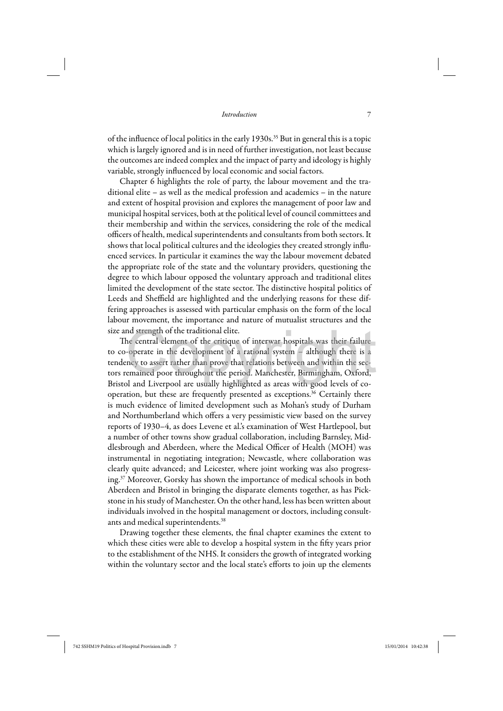of the influence of local politics in the early 1930s.<sup>35</sup> But in general this is a topic which is largely ignored and is in need of further investigation, not least because the outcomes are indeed complex and the impact of party and ideology is highly variable, strongly influenced by local economic and social factors.

Chapter 6 highlights the role of party, the labour movement and the traditional elite – as well as the medical profession and academics – in the nature and extent of hospital provision and explores the management of poor law and municipal hospital services, both at the political level of council committees and their membership and within the services, considering the role of the medical officers of health, medical superintendents and consultants from both sectors. It shows that local political cultures and the ideologies they created strongly influenced services. In particular it examines the way the labour movement debated the appropriate role of the state and the voluntary providers, questioning the degree to which labour opposed the voluntary approach and traditional elites limited the development of the state sector. The distinctive hospital politics of Leeds and Sheffield are highlighted and the underlying reasons for these differing approaches is assessed with particular emphasis on the form of the local labour movement, the importance and nature of mutualist structures and the size and strength of the traditional elite.

The central element of the critique of interwar hospitals was their failure to co-operate in the development of a rational system – although there is a tendency to assert rather than prove that relations between and within the sectors remained poor throughout the period. Manchester, Birmingham, Oxford, Bristol and Liverpool are usually highlighted as areas with good levels of cooperation, but these are frequently presented as exceptions.36 Certainly there is much evidence of limited development such as Mohan's study of Durham and Northumberland which offers a very pessimistic view based on the survey reports of 1930–4, as does Levene et al.'s examination of West Hartlepool, but a number of other towns show gradual collaboration, including Barnsley, Middlesbrough and Aberdeen, where the Medical Officer of Health (MOH) was instrumental in negotiating integration; Newcastle, where collaboration was clearly quite advanced; and Leicester, where joint working was also progressing.37 Moreover, Gorsky has shown the importance of medical schools in both Aberdeen and Bristol in bringing the disparate elements together, as has Pickstone in his study of Manchester. On the other hand, less has been written about individuals involved in the hospital management or doctors, including consultants and medical superintendents.38 nd strength of the traditional elite.<br>he central element of the critique of interwar hospitals was their failure-<br>operate in the development of a rational system – although there is a<br>ncy to assert rather than prove that r

Drawing together these elements, the final chapter examines the extent to which these cities were able to develop a hospital system in the fifty years prior to the establishment of the NHS. It considers the growth of integrated working within the voluntary sector and the local state's efforts to join up the elements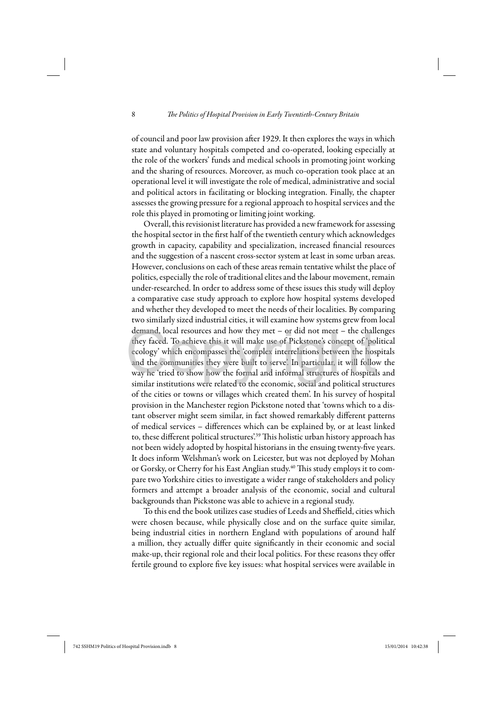#### 8 *Th e Politics of Hospital Provision in Early Twentieth-Century Britain*

of council and poor law provision after 1929. It then explores the ways in which state and voluntary hospitals competed and co-operated, looking especially at the role of the workers' funds and medical schools in promoting joint working and the sharing of resources. Moreover, as much co-operation took place at an operational level it will investigate the role of medical, administrative and social and political actors in facilitating or blocking integration. Finally, the chapter assesses the growing pressure for a regional approach to hospital services and the role this played in promoting or limiting joint working.

Overall, this revisionist literature has provided a new framework for assessing the hospital sector in the first half of the twentieth century which acknowledges growth in capacity, capability and specialization, increased financial resources and the suggestion of a nascent cross-sector system at least in some urban areas. However, conclusions on each of these areas remain tentative whilst the place of politics, especially the role of traditional elites and the labour movement, remain under-researched. In order to address some of these issues this study will deploy a comparative case study approach to explore how hospital systems developed and whether they developed to meet the needs of their localities. By comparing two similarly sized industrial cities, it will examine how systems grew from local demand, local resources and how they met – or did not meet – the challenges they faced. To achieve this it will make use of Pickstone's concept of 'political ecology' which encompasses the 'complex interrelations between the hospitals and the communities they were built to serve'. In particular, it will follow the way he 'tried to show how the formal and informal structures of hospitals and similar institutions were related to the economic, social and political structures of the cities or towns or villages which created them'. In his survey of hospital provision in the Manchester region Pickstone noted that 'towns which to a distant observer might seem similar, in fact showed remarkably different patterns of medical services – differences which can be explained by, or at least linked to, these different political structures.<sup>39</sup> This holistic urban history approach has not been widely adopted by hospital historians in the ensuing twenty-five years. It does inform Welshman's work on Leicester, but was not deployed by Mohan or Gorsky, or Cherry for his East Anglian study.<sup>40</sup> This study employs it to compare two Yorkshire cities to investigate a wider range of stakeholders and policy formers and attempt a broader analysis of the economic, social and cultural backgrounds than Pickstone was able to achieve in a regional study. demand, local resources and how they met – or did not meet – the chall<br>they faced. To achieve this it will make use of Pickstone's concept of 'po<br>ecology' which encompasses the 'complex interrelations between the hos<br>and

To this end the book utilizes case studies of Leeds and Sheffield, cities which were chosen because, while physically close and on the surface quite similar, being industrial cities in northern England with populations of around half a million, they actually differ quite significantly in their economic and social make-up, their regional role and their local politics. For these reasons they offer fertile ground to explore five key issues: what hospital services were available in